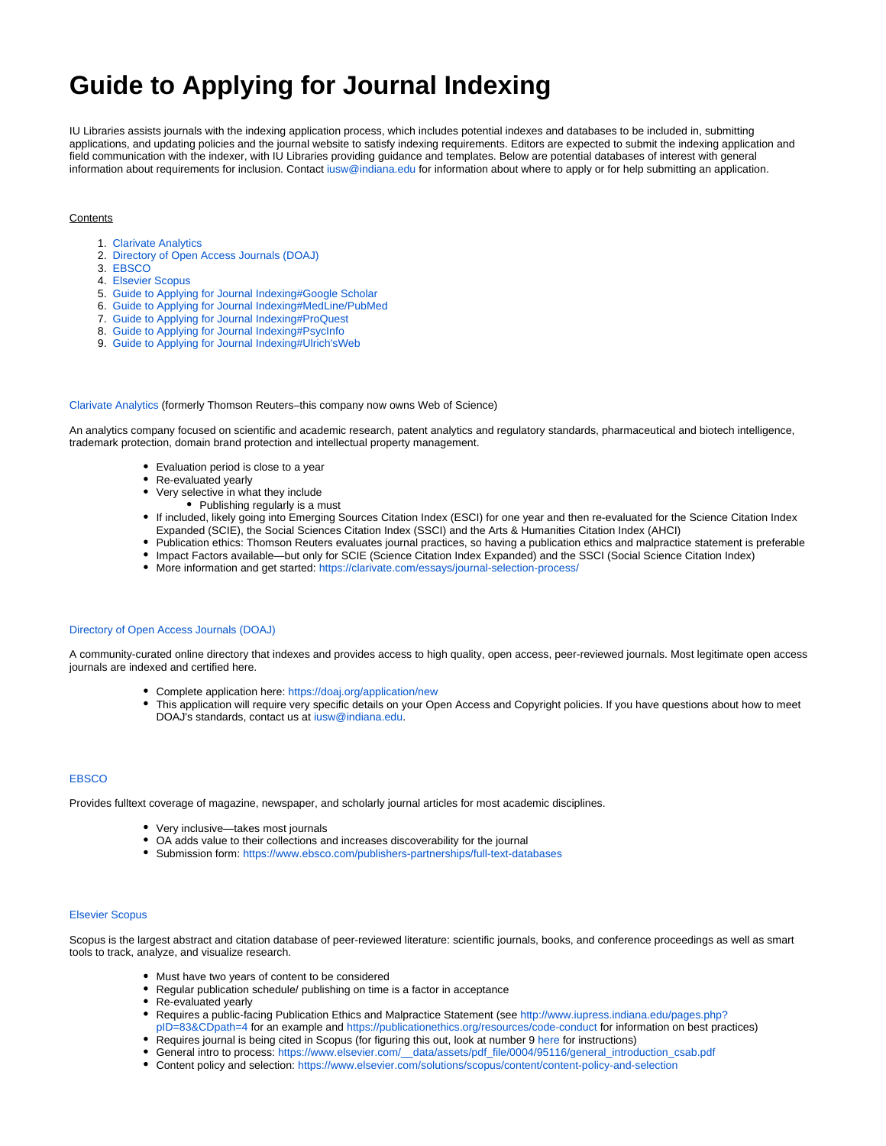# **Guide to Applying for Journal Indexing**

IU Libraries assists journals with the indexing application process, which includes potential indexes and databases to be included in, submitting applications, and updating policies and the journal website to satisfy indexing requirements. Editors are expected to submit the indexing application and field communication with the indexer, with IU Libraries providing guidance and templates. Below are potential databases of interest with general information about requirements for inclusion. Contact [iusw@indiana.edu](mailto:iusw@indiana.edu) for information about where to apply or for help submitting an application.

## **Contents**

- 1. [Clarivate Analytics](#page-0-0)
- 2. [Directory of Open Access Journals \(DOAJ\)](#page-0-1)
- 3. [EBSCO](#page-0-2)
- 4. [Elsevier Scopus](https://wiki.dlib.indiana.edu/pages/viewpage.action?pageId=531699027#GuidetoApplyingforJournalIndexing-ElsevierScopus)
- 5. [Guide to Applying for Journal Indexing#Google Scholar](https://wiki.dlib.indiana.edu/pages/viewpage.action?pageId=531699027#GuidetoApplyingforJournalIndexing-GoogleScholar)
- 6. [Guide to Applying for Journal Indexing#MedLine/PubMed](https://wiki.dlib.indiana.edu/pages/viewpage.action?pageId=531699027#GuidetoApplyingforJournalIndexing-MedLine/PubMed)
- 7. [Guide to Applying for Journal Indexing#ProQuest](#page-1-0)
- 8. [Guide to Applying for Journal Indexing#PsycInfo](#page-1-1)
- 9. [Guide to Applying for Journal Indexing#Ulrich'sWeb](#page-1-2)

#### <span id="page-0-0"></span>[Clarivate Analytics](https://clarivate.com/) (formerly Thomson Reuters–this company now owns Web of Science)

An analytics company focused on scientific and academic research, patent analytics and regulatory standards, pharmaceutical and biotech intelligence, trademark protection, domain brand protection and intellectual property management.

- Evaluation period is close to a year
- Re-evaluated yearly
- Very selective in what they include
	- Publishing regularly is a must
- If included, likely going into Emerging Sources Citation Index (ESCI) for one year and then re-evaluated for the Science Citation Index Expanded (SCIE), the Social Sciences Citation Index (SSCI) and the Arts & Humanities Citation Index (AHCI)
- Publication ethics: Thomson Reuters evaluates journal practices, so having a publication ethics and malpractice statement is preferable
- Impact Factors available—but only for SCIE (Science Citation Index Expanded) and the SSCI (Social Science Citation Index)
- More information and get started: <https://clarivate.com/essays/journal-selection-process/>

## <span id="page-0-1"></span>[Directory of Open Access Journals \(DOAJ\)](https://doaj.org/)

A community-curated online directory that indexes and provides access to high quality, open access, peer-reviewed journals. Most legitimate open access journals are indexed and certified here.

- Complete application here:<https://doaj.org/application/new>
- This application will require very specific details on your Open Access and Copyright policies. If you have questions about how to meet DOAJ's standards, contact us at [iusw@indiana.edu](mailto:iusw@indiana.edu).

### <span id="page-0-2"></span>**[EBSCO](https://www.ebsco.com/)**

Provides fulltext coverage of magazine, newspaper, and scholarly journal articles for most academic disciplines.

- Very inclusive—takes most journals
- OA adds value to their collections and increases discoverability for the journal
- Submission form:<https://www.ebsco.com/publishers-partnerships/full-text-databases>

## [Elsevier Scopus](https://www.elsevier.com/solutions/scopus)

Scopus is the largest abstract and citation database of peer-reviewed literature: scientific journals, books, and conference proceedings as well as smart tools to track, analyze, and visualize research.

- Must have two years of content to be considered
- Regular publication schedule/ publishing on time is a factor in acceptance
- Re-evaluated yearly
- Requires a public-facing Publication Ethics and Malpractice Statement (see [http://www.iupress.indiana.edu/pages.php?](http://www.iupress.indiana.edu/pages.php?pID=83&CDpath=4) [pID=83&CDpath=4](http://www.iupress.indiana.edu/pages.php?pID=83&CDpath=4) for an example and <https://publicationethics.org/resources/code-conduct>for information on best practices)
- Requires journal is being cited in Scopus (for figuring this out, look at number 9 [here](https://embed.widencdn.net/download/elsevier/olbvgdobzi/SC_FAQ-content-selection-process_Jan2019.pdf?u=simrzc) for instructions)
- General intro to process: [https://www.elsevier.com/\\_\\_data/assets/pdf\\_file/0004/95116/general\\_introduction\\_csab.pdf](https://www.elsevier.com/__data/assets/pdf_file/0004/95116/general_introduction_csab.pdf)
- Content policy and selection: <https://www.elsevier.com/solutions/scopus/content/content-policy-and-selection>